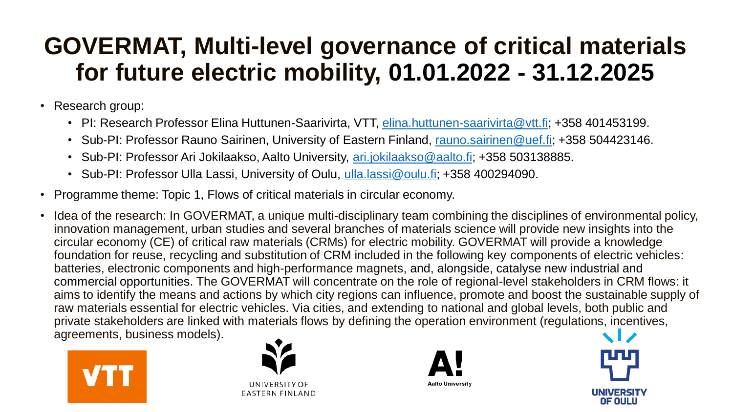## **GOVERMAT, Multi-level governance of critical materials for future electric mobility, 01.01.2022 - 31.12.2025**

- Research group:
	- PI: Research Professor Elina Huttunen-Saarivirta, VTT, [elina.huttunen-saarivirta@vtt.fi;](mailto:elina.huttunen-saarivirta@vtt.fi) +358 401453199.
	- Sub-PI: Professor Rauno Sairinen, University of Eastern Finland, [rauno.sairinen@uef.fi;](mailto:rauno.sairinen@uef.fi) +358 504423146.
	- Sub-PI: Professor Ari Jokilaakso, Aalto University, [ari.jokilaakso@aalto.fi;](mailto:ari.jokilaakso@aalto.fi) +358 503138885.
	- Sub-PI: Professor Ulla Lassi, University of Oulu, [ulla.lassi@oulu.fi;](mailto:ulla.lassi@oulu.fi) +358 400294090.
- Programme theme: Topic 1, Flows of critical materials in circular economy.
- Idea of the research: In GOVERMAT, a unique multi-disciplinary team combining the disciplines of environmental policy, innovation management, urban studies and several branches of materials science will provide new insights into the circular economy (CE) of critical raw materials (CRMs) for electric mobility. GOVERMAT will provide a knowledge foundation for reuse, recycling and substitution of CRM included in the following key components of electric vehicles: batteries, electronic components and high-performance magnets, and, alongside, catalyse new industrial and commercial opportunities. The GOVERMAT will concentrate on the role of regional-level stakeholders in CRM flows: it aims to identify the means and actions by which city regions can influence, promote and boost the sustainable supply of raw materials essential for electric vehicles. Via cities, and extending to national and global levels, both public and private stakeholders are linked with materials flows by defining the operation environment (regulations, incentives, agreements, business models).





UNIVERSITY OF **EASTERN FINLAND** 



**Aalto University** 

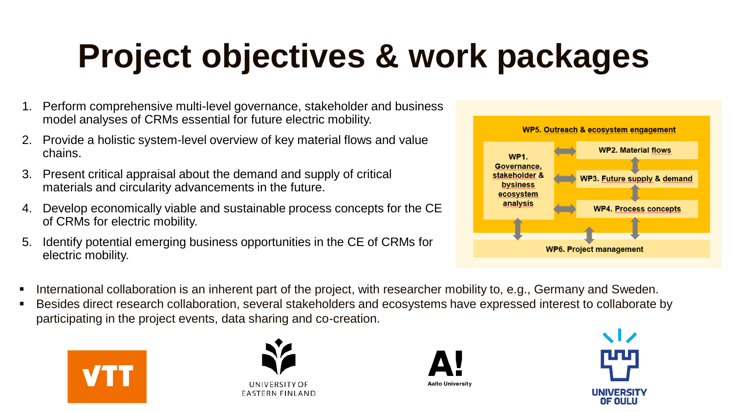## **Project objectives & work packages**

- 1. Perform comprehensive multi-level governance, stakeholder and business model analyses of CRMs essential for future electric mobility.
- 2. Provide a holistic system-level overview of key material flows and value chains.
- 3. Present critical appraisal about the demand and supply of critical materials and circularity advancements in the future.
- 4. Develop economically viable and sustainable process concepts for the CE of CRMs for electric mobility.
- 5. Identify potential emerging business opportunities in the CE of CRMs for electric mobility.



- International collaboration is an inherent part of the project, with researcher mobility to, e.g., Germany and Sweden.
- Besides direct research collaboration, several stakeholders and ecosystems have expressed interest to collaborate by participating in the project events, data sharing and co-creation.





**UNIVERSITY OF EASTERN FINLAND** 



**Aalto University**